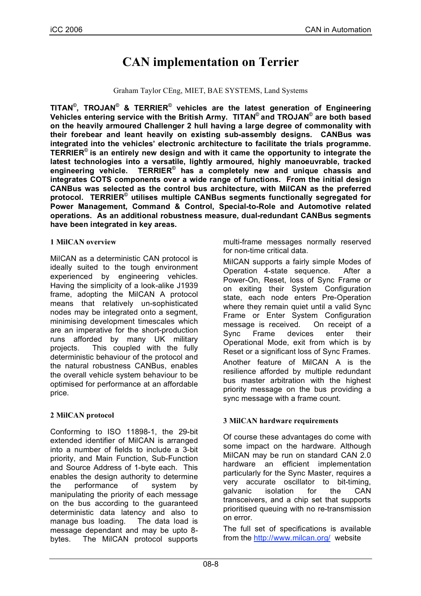# **CAN implementation on Terrier**

#### Graham Taylor CEng, MIET, BAE SYSTEMS, Land Systems

**TITAN©, TROJAN© & TERRIER© vehicles are the latest generation of Engineering Vehicles entering service with the British Army. TITAN© and TROJAN© are both based on the heavily armoured Challenger 2 hull having a large degree of commonality with their forebear and leant heavily on existing sub-assembly designs. CANBus was integrated into the vehicles' electronic architecture to facilitate the trials programme. TERRIER© is an entirely new design and with it came the opportunity to integrate the latest technologies into a versatile, lightly armoured, highly manoeuvrable, tracked engineering vehicle. TERRIER© has a completely new and unique chassis and integrates COTS components over a wide range of functions. From the initial design CANBus was selected as the control bus architecture, with MilCAN as the preferred protocol. TERRIER© utilises multiple CANBus segments functionally segregated for Power Management, Command & Control, Special-to-Role and Automotive related operations. As an additional robustness measure, dual-redundant CANBus segments have been integrated in key areas.**

#### **1 MilCAN overview**

MilCAN as a deterministic CAN protocol is ideally suited to the tough environment experienced by engineering vehicles. Having the simplicity of a look-alike J1939 frame, adopting the MilCAN A protocol means that relatively un-sophisticated nodes may be integrated onto a segment, minimising development timescales which are an imperative for the short-production runs afforded by many UK military projects. This coupled with the fully deterministic behaviour of the protocol and the natural robustness CANBus, enables the overall vehicle system behaviour to be optimised for performance at an affordable price.

#### **2 MilCAN protocol**

Conforming to ISO 11898-1, the 29-bit extended identifier of MilCAN is arranged into a number of fields to include a 3-bit priority, and Main Function, Sub-Function and Source Address of 1-byte each. This enables the design authority to determine the performance of system by manipulating the priority of each message on the bus according to the guaranteed deterministic data latency and also to manage bus loading. The data load is message dependant and may be upto 8 bytes. The MilCAN protocol supports

multi-frame messages normally reserved for non-time critical data.

MilCAN supports a fairly simple Modes of Operation 4-state sequence. After a Power-On, Reset, loss of Sync Frame or on exiting their System Configuration state, each node enters Pre-Operation where they remain quiet until a valid Sync Frame or Enter System Configuration message is received. On receipt of a Sync Frame devices enter their Operational Mode, exit from which is by Reset or a significant loss of Sync Frames. Another feature of MilCAN A is the resilience afforded by multiple redundant bus master arbitration with the highest priority message on the bus providing a sync message with a frame count.

#### **3 MilCAN hardware requirements**

Of course these advantages do come with some impact on the hardware. Although MilCAN may be run on standard CAN 2.0 hardware an efficient implementation particularly for the Sync Master, requires a very accurate oscillator to bit-timing, galvanic isolation for the CAN transceivers, and a chip set that supports prioritised queuing with no re-transmission on error.

The full set of specifications is available from the http://www.milcan.org/ website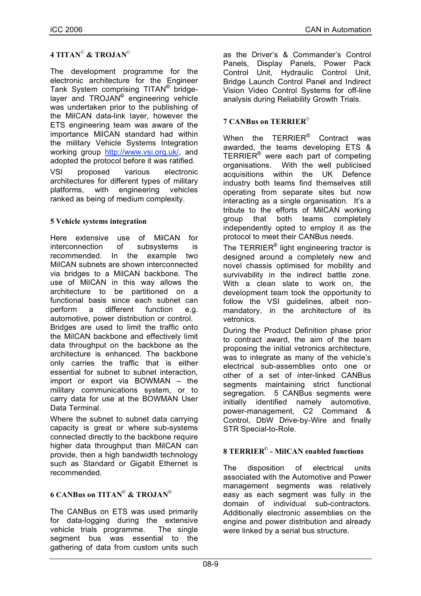## **4 TITAN**© **& TROJAN**©

The development programme for the electronic architecture for the Engineer Tank System comprising TITAN**©** bridgelayer and TROJAN**©** engineering vehicle was undertaken prior to the publishing of the MilCAN data-link layer, however the ETS engineering team was aware of the importance MilCAN standard had within the military Vehicle Systems Integration working group http://www.vsi.org.uk/, and adopted the protocol before it was ratified. VSI proposed various electronic

architectures for different types of military platforms, with engineering vehicles ranked as being of medium complexity.

### **5 Vehicle systems integration**

Here extensive use of MilCAN for interconnection of subsystems is recommended. In the example two MilCAN subnets are shown interconnected via bridges to a MilCAN backbone. The use of MilCAN in this way allows the architecture to be partitioned on a functional basis since each subnet can perform a different function e.g. automotive, power distribution or control. Bridges are used to limit the traffic onto the MilCAN backbone and effectively limit data throughput on the backbone as the architecture is enhanced. The backbone only carries the traffic that is either essential for subnet to subnet interaction, import or export via BOWMAN – the military communications system, or to carry data for use at the BOWMAN User Data Terminal.

Where the subnet to subnet data carrying capacity is great or where sub-systems connected directly to the backbone require higher data throughput than MilCAN can provide, then a high bandwidth technology such as Standard or Gigabit Ethernet is recommended.

## **6 CANBus on TITAN© & TROJAN©**

The CANBus on ETS was used primarily for data-logging during the extensive vehicle trials programme. The single segment bus was essential to the gathering of data from custom units such as the Driver's & Commander's Control Panels, Display Panels, Power Pack Control Unit, Hydraulic Control Unit, Bridge Launch Control Panel and Indirect Vision Video Control Systems for off-line analysis during Reliability Growth Trials.

## **7 CANBus on TERRIER**©

When the TERRIER**©** Contract was awarded, the teams developing ETS & TERRIER**©** were each part of competing organisations. With the well publicised acquisitions within the UK Defence industry both teams find themselves still operating from separate sites but now interacting as a single organisation. It's a tribute to the efforts of MilCAN working group that both teams completely independently opted to employ it as the protocol to meet their CANBus needs.

The TERRIER**©** light engineering tractor is designed around a completely new and novel chassis optimised for mobility and survivability in the indirect battle zone. With a clean slate to work on, the development team took the opportunity to follow the VSI guidelines, albeit nonmandatory, in the architecture of its vetronics.

During the Product Definition phase prior to contract award, the aim of the team proposing the initial vetronics architecture, was to integrate as many of the vehicle's electrical sub-assemblies onto one or other of a set of inter-linked CANBus segments maintaining strict functional segregation. 5 CANBus segments were initially identified namely automotive, power-management, C2 Command & Control, DbW Drive-by-Wire and finally STR Special-to-Role.

#### **8 TERRIER© - MilCAN enabled functions**

The disposition of electrical units associated with the Automotive and Power management segments was relatively easy as each segment was fully in the domain of individual sub-contractors. Additionally electronic assemblies on the engine and power distribution and already were linked by a serial bus structure.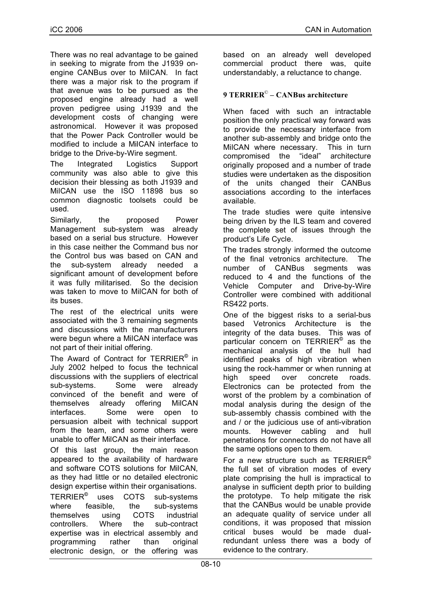There was no real advantage to be gained in seeking to migrate from the J1939 onengine CANBus over to MilCAN. In fact there was a major risk to the program if that avenue was to be pursued as the proposed engine already had a well proven pedigree using J1939 and the development costs of changing were astronomical. However it was proposed that the Power Pack Controller would be modified to include a MilCAN interface to bridge to the Drive-by-Wire segment.

The Integrated Logistics Support community was also able to give this decision their blessing as both J1939 and MilCAN use the ISO 11898 bus so common diagnostic toolsets could be used.

Similarly, the proposed Power Management sub-system was already based on a serial bus structure. However in this case neither the Command bus nor the Control bus was based on CAN and the sub-system already needed a significant amount of development before it was fully militarised. So the decision was taken to move to MilCAN for both of its buses.

The rest of the electrical units were associated with the 3 remaining segments and discussions with the manufacturers were begun where a MilCAN interface was not part of their initial offering.

The Award of Contract for TERRIER**©** in July 2002 helped to focus the technical discussions with the suppliers of electrical sub-systems. Some were already convinced of the benefit and were of themselves already offering MilCAN interfaces. Some were open to persuasion albeit with technical support from the team, and some others were unable to offer MilCAN as their interface.

Of this last group, the main reason appeared to the availability of hardware and software COTS solutions for MilCAN, as they had little or no detailed electronic design expertise within their organisations.

TERRIER**©** uses COTS sub-systems where feasible, the sub-systems themselves using COTS industrial controllers. Where the sub-contract expertise was in electrical assembly and programming rather than original electronic design, or the offering was

based on an already well developed commercial product there was, quite understandably, a reluctance to change.

## **9 TERRIER**© **– CANBus architecture**

When faced with such an intractable position the only practical way forward was to provide the necessary interface from another sub-assembly and bridge onto the MilCAN where necessary. This in turn compromised the "ideal" architecture originally proposed and a number of trade studies were undertaken as the disposition of the units changed their CANBus associations according to the interfaces available.

The trade studies were quite intensive being driven by the ILS team and covered the complete set of issues through the product's Life Cycle.

The trades strongly informed the outcome of the final vetronics architecture. The number of CANBus segments was reduced to 4 and the functions of the Vehicle Computer and Drive-by-Wire Controller were combined with additional RS422 ports.

One of the biggest risks to a serial-bus based Vetronics Architecture is the integrity of the data buses. This was of particular concern on TERRIER**©** as the mechanical analysis of the hull had identified peaks of high vibration when using the rock-hammer or when running at high speed over concrete roads. Electronics can be protected from the worst of the problem by a combination of modal analysis during the design of the sub-assembly chassis combined with the and / or the judicious use of anti-vibration mounts. However cabling and hull penetrations for connectors do not have all the same options open to them.

For a new structure such as TERRIER**©** the full set of vibration modes of every plate comprising the hull is impractical to analyse in sufficient depth prior to building the prototype. To help mitigate the risk that the CANBus would be unable provide an adequate quality of service under all conditions, it was proposed that mission critical buses would be made dualredundant unless there was a body of evidence to the contrary.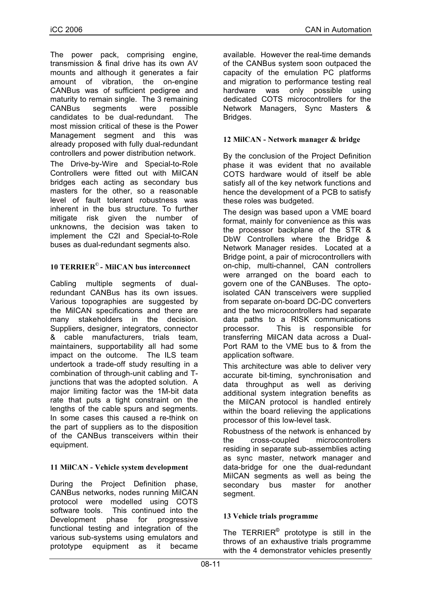The power pack, comprising engine, transmission & final drive has its own AV mounts and although it generates a fair amount of vibration, the on-engine CANBus was of sufficient pedigree and maturity to remain single. The 3 remaining CANBus segments were possible candidates to be dual-redundant. The most mission critical of these is the Power Management segment and this was already proposed with fully dual-redundant controllers and power distribution network.

The Drive-by-Wire and Special-to-Role Controllers were fitted out with MilCAN bridges each acting as secondary bus masters for the other, so a reasonable level of fault tolerant robustness was inherent in the bus structure. To further mitigate risk given the number of unknowns, the decision was taken to implement the C2I and Special-to-Role buses as dual-redundant segments also.

## **10 TERRIER© - MilCAN bus interconnect**

Cabling multiple segments of dualredundant CANBus has its own issues. Various topographies are suggested by the MilCAN specifications and there are many stakeholders in the decision. Suppliers, designer, integrators, connector & cable manufacturers, trials team, maintainers, supportability all had some impact on the outcome. The ILS team undertook a trade-off study resulting in a combination of through-unit cabling and Tjunctions that was the adopted solution. A major limiting factor was the 1M-bit data rate that puts a tight constraint on the lengths of the cable spurs and segments. In some cases this caused a re-think on the part of suppliers as to the disposition of the CANBus transceivers within their equipment.

### **11 MilCAN - Vehicle system development**

During the Project Definition phase, CANBus networks, nodes running MilCAN protocol were modelled using COTS software tools. This continued into the Development phase for progressive functional testing and integration of the various sub-systems using emulators and prototype equipment as it became

available. However the real-time demands of the CANBus system soon outpaced the capacity of the emulation PC platforms and migration to performance testing real hardware was only possible using dedicated COTS microcontrollers for the Network Managers, Sync Masters & Bridges.

## **12 MilCAN - Network manager & bridge**

By the conclusion of the Project Definition phase it was evident that no available COTS hardware would of itself be able satisfy all of the key network functions and hence the development of a PCB to satisfy these roles was budgeted.

The design was based upon a VME board format, mainly for convenience as this was the processor backplane of the STR & DbW Controllers where the Bridge & Network Manager resides. Located at a Bridge point, a pair of microcontrollers with on-chip, multi-channel, CAN controllers were arranged on the board each to govern one of the CANBuses. The optoisolated CAN transceivers were supplied from separate on-board DC-DC converters and the two microcontrollers had separate data paths to a RISK communications processor. This is responsible for transferring MilCAN data across a Dual-Port RAM to the VME bus to & from the application software.

This architecture was able to deliver very accurate bit-timing, synchronisation and data throughput as well as deriving additional system integration benefits as the MilCAN protocol is handled entirely within the board relieving the applications processor of this low-level task.

Robustness of the network is enhanced by the cross-coupled microcontrollers residing in separate sub-assemblies acting as sync master, network manager and data-bridge for one the dual-redundant MilCAN segments as well as being the secondary bus master for another segment.

### **13 Vehicle trials programme**

The TERRIER**©** prototype is still in the throws of an exhaustive trials programme with the 4 demonstrator vehicles presently